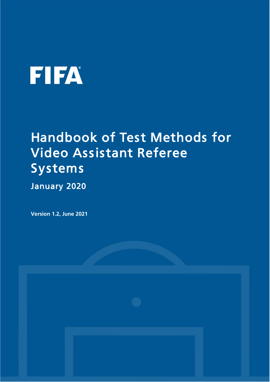# **FIFA**

## Handbook of Test Methods for Video Assistant Referee Systems

January 2020

**Version 1.2, June 2021**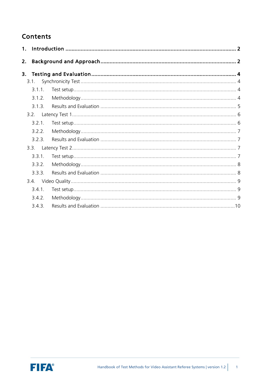#### **Contents**

| 2. |        |  |
|----|--------|--|
| 3. |        |  |
|    | 3.1.   |  |
|    | 3.1.1. |  |
|    | 3.1.2. |  |
|    | 313    |  |
|    | 3.2.   |  |
|    | 3.2.1. |  |
|    | 3.2.2. |  |
|    | 3.2.3. |  |
|    | 3.3.   |  |
|    | 3.3.1. |  |
|    | 3.3.2. |  |
|    | 3.3.3. |  |
|    |        |  |
|    | 3.4.1. |  |
|    | 3.4.2. |  |
|    | 3.4.3. |  |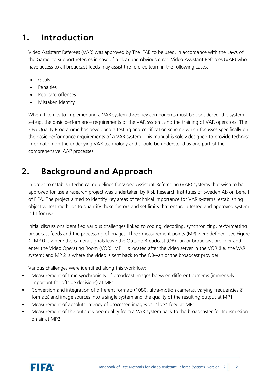## <span id="page-2-0"></span>1. Introduction

Video Assistant Referees (VAR) was approved by The IFAB to be used, in accordance with the Laws of the Game, to support referees in case of a clear and obvious error. Video Assistant Referees (VAR) who have access to all broadcast feeds may assist the referee team in the following cases:

- Goals
- **Penalties**
- Red card offenses
- Mistaken identity

When it comes to implementing a VAR system three key components must be considered: the system set-up, the basic performance requirements of the VAR system, and the training of VAR operators. The FIFA Quality Programme has developed a testing and certification scheme which focusses specifically on the basic performance requirements of a VAR system. This manual is solely designed to provide technical information on the underlying VAR technology and should be understood as one part of the comprehensive IAAP processes.

## <span id="page-2-1"></span>2. Background and Approach

In order to establish technical guidelines for Video Assistant Refereeing (VAR) systems that wish to be approved for use a research project was undertaken by RISE Research Institutes of Sweden AB on behalf of FIFA. The project aimed to identify key areas of technical importance for VAR systems, establishing objective test methods to quantify these factors and set limits that ensure a tested and approved system is fit for use.

Initial discussions identified various challenges linked to coding, decoding, synchronizing, re-formatting broadcast feeds and the processing of images. Three measurement points (MP) were defined, see [Figure](#page-3-0)  *[1](#page-3-0)*. MP 0 is where the camera signals leave the Outside Broadcast (OB)-van or broadcast provider and enter the Video Operating Room (VOR), MP 1 is located after the video server in the VOR (i.e. the VAR system) and MP 2 is where the video is sent back to the OB-van or the broadcast provider.

Various challenges were identified along this workflow:

- Measurement of time synchronicity of broadcast images between different cameras (immensely important for offside decisions) at MP1
- Conversion and integration of different formats (1080, ultra-motion cameras, varying frequencies & formats) and image sources into a single system and the quality of the resulting output at MP1
- Measurement of absolute latency of processed images vs. "live" feed at MP1
- Measurement of the output video quality from a VAR system back to the broadcaster for transmission on air at MP2

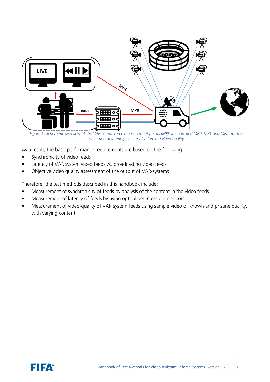

<span id="page-3-0"></span>*Figure* 1*: Schematic overview of the VAR setup. Three measurement points (MP) are indicated MP0, MP1 and MP2, for the evaluation of latency, synchronization and video quality.*

As a result, the basic performance requirements are based on the following:

- Synchronicity of video feeds
- Latency of VAR system video feeds vs. broadcasting video feeds
- Objective video quality assessment of the output of VAR-systems

Therefore, the test methods described in this handbook include:

- Measurement of synchronicity of feeds by analysis of the content in the video feeds
- Measurement of latency of feeds by using optical detectors on monitors
- Measurement of video-quality of VAR system feeds using sample video of known and pristine quality, with varying content.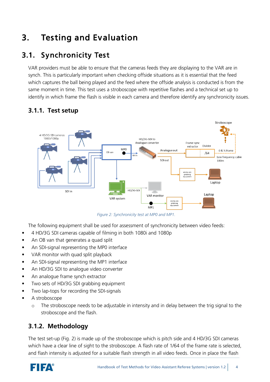## <span id="page-4-0"></span>3. Testing and Evaluation

## <span id="page-4-1"></span>3.1. Synchronicity Test

VAR providers must be able to ensure that the cameras feeds they are displaying to the VAR are in synch. This is particularly important when checking offside situations as it is essential that the feed which captures the ball being played and the feed where the offside analysis is conducted is from the same moment in time. This test uses a stroboscope with repetitive flashes and a technical set up to identify in which frame the flash is visible in each camera and therefore identify any synchronicity issues.



#### <span id="page-4-2"></span>**3.1.1. Test setup**

*Figure 2: Synchronicity test at MP0 and MP1.*

The following equipment shall be used for assessment of synchronicity between video feeds:

- 4 HD/3G SDI cameras capable of filming in both 1080i and 1080p
- An OB van that generates a quad split
- An SDI-signal representing the MP0 interface
- VAR monitor with quad split playback
- An SDI-signal representing the MP1 interface
- An HD/3G SDI to analogue video converter
- An analogue frame synch extractor
- Two sets of HD/3G SDI grabbing equipment
- Two lap-tops for recording the SDI-signals
- A stroboscope
	- o The stroboscope needs to be adjustable in intensity and in delay between the trig signal to the stroboscope and the flash.

#### <span id="page-4-3"></span>**3.1.2. Methodology**

The test set-up (Fig. 2) is made up of the stroboscope which is pitch side and 4 HD/3G SDI cameras which have a clear line of sight to the stroboscope. A flash rate of 1/64 of the frame rate is selected, and flash intensity is adjusted for a suitable flash strength in all video feeds. Once in place the flash

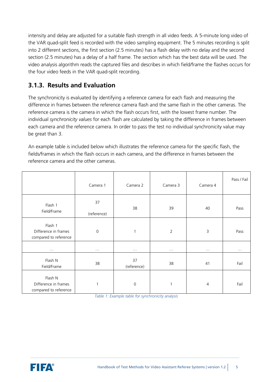intensity and delay are adjusted for a suitable flash strength in all video feeds. A 5-minute long video of the VAR quad-split feed is recorded with the video sampling equipment. The 5 minutes recording is split into 2 different sections, the first section (2.5 minutes) has a flash delay with no delay and the second section (2.5 minutes) has a delay of a half frame. The section which has the best data will be used. The video analysis algorithm reads the captured files and describes in which field/frame the flashes occurs for the four video feeds in the VAR quad-split recording.

#### <span id="page-5-0"></span>**3.1.3. Results and Evaluation**

The synchronicity is evaluated by identifying a reference camera for each flash and measuring the difference in frames between the reference camera flash and the same flash in the other cameras. The reference camera is the camera in which the flash occurs first, with the lowest frame number. The individual *synchronicity values* for each flash are calculated by taking the difference in frames between each camera and the reference camera. In order to pass the test no individual synchronicity value may be great than 3.

An example table is included below which illustrates the reference camera for the specific flash, the fields/frames in which the flash occurs in each camera, and the difference in frames between the reference camera and the other cameras.

|                                                          | Camera 1             | Camera 2             | Camera 3             | Camera 4             | Pass / Fail          |
|----------------------------------------------------------|----------------------|----------------------|----------------------|----------------------|----------------------|
| Flash 1<br>Field/Frame                                   | 37<br>(reference)    | 38                   | 39                   | 40                   | Pass                 |
| Flash 1<br>Difference in frames<br>compared to reference | $\mathbf 0$          | 1                    | $\overline{2}$       | 3                    | Pass                 |
| $\ldots$                                                 | $\sim$ $\sim$ $\sim$ | $\sim$ $\sim$ $\sim$ | $\sim$ $\sim$ $\sim$ | $\sim$ $\sim$ $\sim$ | $\sim$ $\sim$ $\sim$ |
| Flash N<br>Field/Frame                                   | 38                   | 37<br>(reference)    | 38                   | 41                   | Fail                 |
| Flash N<br>Difference in frames<br>compared to reference | 1                    | $\Omega$             | 1                    | $\overline{4}$       | Fail                 |

*Table 1: Example table for synchronicity analysis*

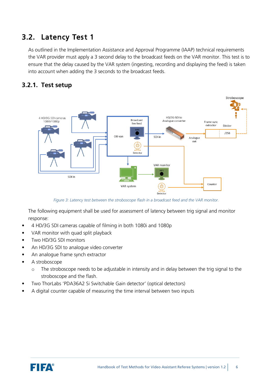## <span id="page-6-0"></span>3.2. Latency Test 1

As outlined in the Implementation Assistance and Approval Programme (IAAP) technical requirements the VAR provider must apply a 3 second delay to the broadcast feeds on the VAR monitor. This test is to ensure that the delay caused by the VAR system (ingesting, recording and displaying the feed) is taken into account when adding the 3 seconds to the broadcast feeds.

#### <span id="page-6-1"></span>**3.2.1. Test setup**



*Figure 3: Latency test between the stroboscope flash in a broadcast feed and the VAR monitor.*

The following equipment shall be used for assessment of latency between trig signal and monitor response:

- 4 HD/3G SDI cameras capable of filming in both 1080i and 1080p
- VAR monitor with quad split playback
- Two HD/3G SDI monitors
- An HD/3G SDI to analogue video converter
- An analogue frame synch extractor
- A stroboscope
	- o The stroboscope needs to be adjustable in intensity and in delay between the trig signal to the stroboscope and the flash.
- Two ThorLabs 'PDA36A2 Si Switchable Gain detector' (optical detectors)
- A digital counter capable of measuring the time interval between two inputs

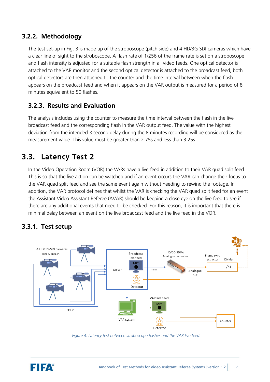#### <span id="page-7-0"></span>**3.2.2. Methodology**

The test set-up in Fig. 3 is made up of the stroboscope (pitch side) and 4 HD/3G SDI cameras which have a clear line of sight to the stroboscope. A flash rate of 1/256 of the frame rate is set on a stroboscope and flash intensity is adjusted for a suitable flash strength in all video feeds. One optical detector is attached to the VAR monitor and the second optical detector is attached to the broadcast feed, both optical detectors are then attached to the counter and the time interval between when the flash appears on the broadcast feed and when it appears on the VAR output is measured for a period of 8 minutes equivalent to 50 flashes.

#### <span id="page-7-1"></span>**3.2.3. Results and Evaluation**

The analysis includes using the counter to measure the time interval between the flash in the live broadcast feed and the corresponding flash in the VAR output feed. The value with the highest deviation from the intended 3 second delay during the 8 minutes recording will be considered as the measurement value. This value must be greater than 2.75s and less than 3.25s.

## <span id="page-7-2"></span>3.3. Latency Test 2

In the Video Operation Room (VOR) the VARs have a live feed in addition to their VAR quad split feed. This is so that the live action can be watched and if an event occurs the VAR can change their focus to the VAR quad split feed and see the same event again without needing to rewind the footage. In addition, the VAR protocol defines that whilst the VAR is checking the VAR quad split feed for an event the Assistant Video Assistant Referee (AVAR) should be keeping a close eye on the live feed to see if there are any additional events that need to be checked. For this reason, it is important that there is minimal delay between an event on the live broadcast feed and the live feed in the VOR.



#### <span id="page-7-3"></span>**3.3.1. Test setup**

*Figure 4: Latency test between stroboscope flashes and the VAR live feed.*

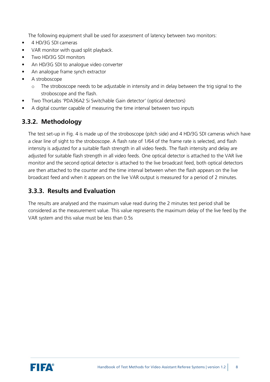The following equipment shall be used for assessment of latency between two monitors:

- 4 HD/3G SDI cameras
- VAR monitor with quad split playback.
- Two HD/3G SDI monitors
- An HD/3G SDI to analogue video converter
- An analogue frame synch extractor
- A stroboscope
	- o The stroboscope needs to be adjustable in intensity and in delay between the trig signal to the stroboscope and the flash.
- Two ThorLabs 'PDA36A2 Si Switchable Gain detector' (optical detectors)
- A digital counter capable of measuring the time interval between two inputs

#### <span id="page-8-0"></span>**3.3.2. Methodology**

The test set-up in Fig. 4 is made up of the stroboscope (pitch side) and 4 HD/3G SDI cameras which have a clear line of sight to the stroboscope. A flash rate of 1/64 of the frame rate is selected, and flash intensity is adjusted for a suitable flash strength in all video feeds. The flash intensity and delay are adjusted for suitable flash strength in all video feeds. One optical detector is attached to the VAR live monitor and the second optical detector is attached to the live broadcast feed, both optical detectors are then attached to the counter and the time interval between when the flash appears on the live broadcast feed and when it appears on the live VAR output is measured for a period of 2 minutes.

#### <span id="page-8-1"></span>**3.3.3. Results and Evaluation**

The results are analysed and the maximum value read during the 2 minutes test period shall be considered as the measurement value. This value represents the maximum delay of the live feed by the VAR system and this value must be less than 0.5s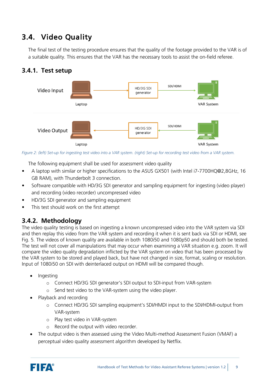## <span id="page-9-0"></span>3.4. Video Quality

The final test of the testing procedure ensures that the quality of the footage provided to the VAR is of a suitable quality. This ensures that the VAR has the necessary tools to assist the on-field referee.

#### <span id="page-9-1"></span>**3.4.1. Test setup**



*Figure 2: (left) Set-up for ingesting test video into a VAR system. (right) Set-up for recording test video from a VAR system.*

The following equipment shall be used for assessment video quality

- A laptop with similar or higher specifications to the ASUS GX501 (with Intel i7-7700HQ@2,8GHz, 16 GB RAM), with Thunderbolt 3 connection.
- Software compatible with HD/3G SDI generator and sampling equipment for ingesting (video player) and recording (video recorder) uncompressed video
- HD/3G SDI generator and sampling equipment
- This test should work on the first attempt

#### <span id="page-9-2"></span>**3.4.2. Methodology**

The video quality testing is based on ingesting a known uncompressed video into the VAR system via SDI and then replay this video from the VAR system and recording it when it is sent back via SDI or HDMI, see Fig. 5. The videos of known quality are available in both 1080i50 and 1080p50 and should both be tested. The test will not cover all manipulations that may occur when examining a VAR situation e.g. zoom. It will compare the video quality degradation inflicted by the VAR system on video that has been processed by the VAR system to be stored and played back, but have not changed in size, format, scaling or resolution. Input of 1080i50 on SDI with deinterlaced output on HDMI will be compared though.

- Ingesting
	- o Connect HD/3G SDI generator's SDI output to SDI-input from VAR-system
	- o Send test video to the VAR-system using the video player.
- Playback and recording
	- o Connect HD/3G SDI sampling equipment's SDI/HMDI input to the SDI/HDMI-output from VAR-system
	- o Play test video in VAR-system
	- o Record the output with video recorder.
- The output video is then assessed using the Video Multi-method Assessment Fusion (VMAF) a perceptual video quality assessment algorithm developed by Netflix.